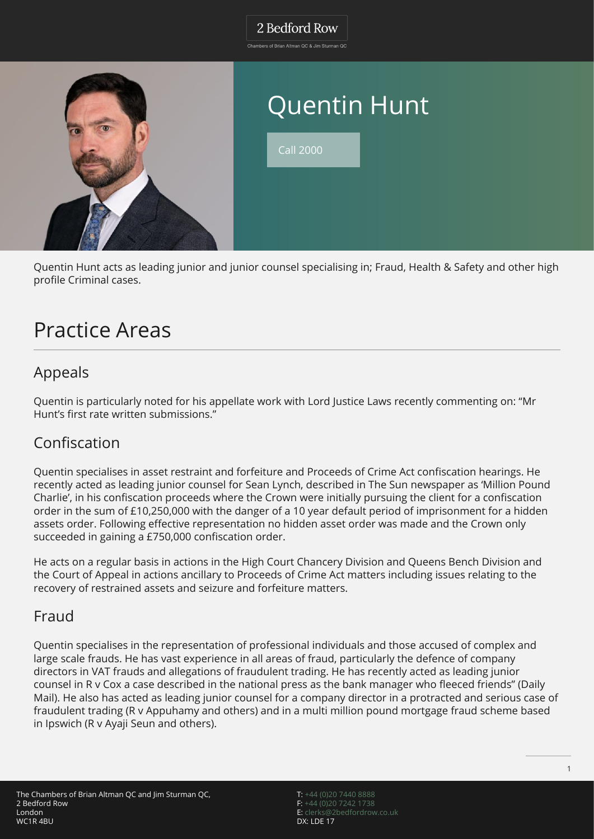#### 2 Bedford Row

Chambers of Brian Altman QC & Jim Sturman QC



# Quentin Hunt

Call 2000

Quentin Hunt acts as leading junior and junior counsel specialising in; Fraud, Health & Safety and other high profile Criminal cases.

## Practice Areas

### Appeals

Quentin is particularly noted for his appellate work with Lord Justice Laws recently commenting on: "Mr Hunt's first rate written submissions."

### Confiscation

Quentin specialises in asset restraint and forfeiture and Proceeds of Crime Act confiscation hearings. He recently acted as leading junior counsel for Sean Lynch, described in The Sun newspaper as 'Million Pound Charlie', in his confiscation proceeds where the Crown were initially pursuing the client for a confiscation order in the sum of £10,250,000 with the danger of a 10 year default period of imprisonment for a hidden assets order. Following effective representation no hidden asset order was made and the Crown only succeeded in gaining a £750,000 confiscation order.

He acts on a regular basis in actions in the High Court Chancery Division and Queens Bench Division and the Court of Appeal in actions ancillary to Proceeds of Crime Act matters including issues relating to the recovery of restrained assets and seizure and forfeiture matters.

#### Fraud

Quentin specialises in the representation of professional individuals and those accused of complex and large scale frauds. He has vast experience in all areas of fraud, particularly the defence of company directors in VAT frauds and allegations of fraudulent trading. He has recently acted as leading junior counsel in R v Cox a case described in the national press as the bank manager who fleeced friends" (Daily Mail). He also has acted as leading junior counsel for a company director in a protracted and serious case of fraudulent trading (R v Appuhamy and others) and in a multi million pound mortgage fraud scheme based in Ipswich (R v Ayaji Seun and others).

T: [+44 \(0\)20 7440 8888](#page--1-0) F: [+44 \(0\)20 7242 1738](#page--1-0) E: [clerks@2bedfordrow.co.uk](mailto:clerks@2bedfordrow.co.uk) DX: LDE 17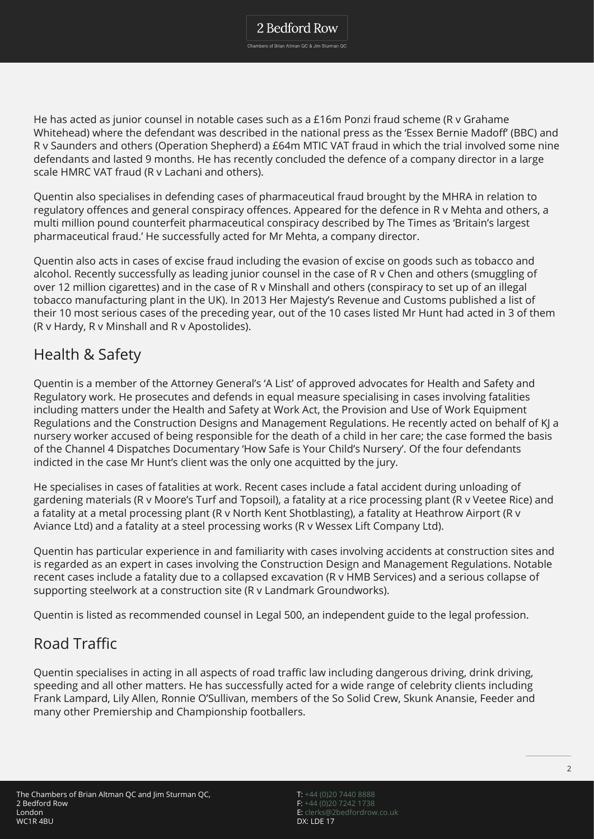He has acted as junior counsel in notable cases such as a £16m Ponzi fraud scheme (R v Grahame Whitehead) where the defendant was described in the national press as the 'Essex Bernie Madoff' (BBC) and R v Saunders and others (Operation Shepherd) a £64m MTIC VAT fraud in which the trial involved some nine defendants and lasted 9 months. He has recently concluded the defence of a company director in a large scale HMRC VAT fraud (R v Lachani and others).

Quentin also specialises in defending cases of pharmaceutical fraud brought by the MHRA in relation to regulatory offences and general conspiracy offences. Appeared for the defence in R v Mehta and others, a multi million pound counterfeit pharmaceutical conspiracy described by The Times as 'Britain's largest pharmaceutical fraud.' He successfully acted for Mr Mehta, a company director.

Quentin also acts in cases of excise fraud including the evasion of excise on goods such as tobacco and alcohol. Recently successfully as leading junior counsel in the case of R v Chen and others (smuggling of over 12 million cigarettes) and in the case of R v Minshall and others (conspiracy to set up of an illegal tobacco manufacturing plant in the UK). In 2013 Her Majesty's Revenue and Customs published a list of their 10 most serious cases of the preceding year, out of the 10 cases listed Mr Hunt had acted in 3 of them (R v Hardy, R v Minshall and R v Apostolides).

### Health & Safety

Quentin is a member of the Attorney General's 'A List' of approved advocates for Health and Safety and Regulatory work. He prosecutes and defends in equal measure specialising in cases involving fatalities including matters under the Health and Safety at Work Act, the Provision and Use of Work Equipment Regulations and the Construction Designs and Management Regulations. He recently acted on behalf of KJ a nursery worker accused of being responsible for the death of a child in her care; the case formed the basis of the Channel 4 Dispatches Documentary 'How Safe is Your Child's Nursery'. Of the four defendants indicted in the case Mr Hunt's client was the only one acquitted by the jury.

He specialises in cases of fatalities at work. Recent cases include a fatal accident during unloading of gardening materials (R v Moore's Turf and Topsoil), a fatality at a rice processing plant (R v Veetee Rice) and a fatality at a metal processing plant (R v North Kent Shotblasting), a fatality at Heathrow Airport (R v Aviance Ltd) and a fatality at a steel processing works (R v Wessex Lift Company Ltd).

Quentin has particular experience in and familiarity with cases involving accidents at construction sites and is regarded as an expert in cases involving the Construction Design and Management Regulations. Notable recent cases include a fatality due to a collapsed excavation (R v HMB Services) and a serious collapse of supporting steelwork at a construction site (R v Landmark Groundworks).

Quentin is listed as recommended counsel in Legal 500, an independent guide to the legal profession.

### Road Traffic

Quentin specialises in acting in all aspects of road traffic law including dangerous driving, drink driving, speeding and all other matters. He has successfully acted for a wide range of celebrity clients including Frank Lampard, Lily Allen, Ronnie O'Sullivan, members of the So Solid Crew, Skunk Anansie, Feeder and many other Premiership and Championship footballers.